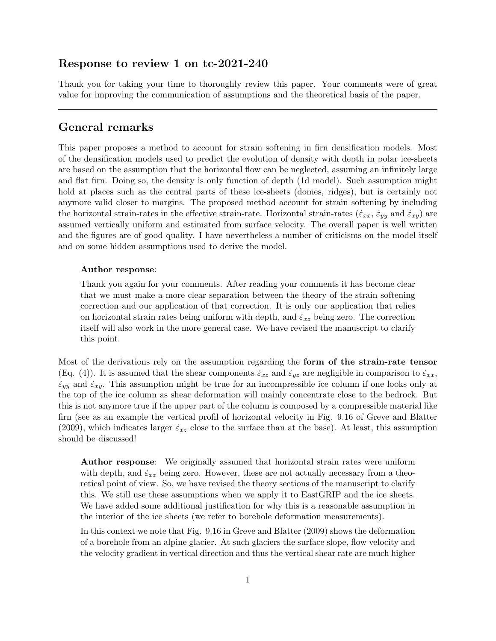## Response to review 1 on tc-2021-240

Thank you for taking your time to thoroughly review this paper. Your comments were of great value for improving the communication of assumptions and the theoretical basis of the paper.

## General remarks

This paper proposes a method to account for strain softening in firn densification models. Most of the densification models used to predict the evolution of density with depth in polar ice-sheets are based on the assumption that the horizontal flow can be neglected, assuming an infinitely large and flat firn. Doing so, the density is only function of depth (1d model). Such assumption might hold at places such as the central parts of these ice-sheets (domes, ridges), but is certainly not anymore valid closer to margins. The proposed method account for strain softening by including the horizontal strain-rates in the effective strain-rate. Horizontal strain-rates ( $\dot{\varepsilon}_{xx}$ ,  $\dot{\varepsilon}_{yy}$  and  $\dot{\varepsilon}_{xy}$ ) are assumed vertically uniform and estimated from surface velocity. The overall paper is well written and the figures are of good quality. I have nevertheless a number of criticisms on the model itself and on some hidden assumptions used to derive the model.

### Author response:

Thank you again for your comments. After reading your comments it has become clear that we must make a more clear separation between the theory of the strain softening correction and our application of that correction. It is only our application that relies on horizontal strain rates being uniform with depth, and  $\dot{\varepsilon}_{xz}$  being zero. The correction itself will also work in the more general case. We have revised the manuscript to clarify this point.

Most of the derivations rely on the assumption regarding the form of the strain-rate tensor (Eq. (4)). It is assumed that the shear components  $\dot{\varepsilon}_{xz}$  and  $\dot{\varepsilon}_{yz}$  are negligible in comparison to  $\dot{\varepsilon}_{xx}$ ,  $\dot{\varepsilon}_{yy}$  and  $\dot{\varepsilon}_{xy}$ . This assumption might be true for an incompressible ice column if one looks only at the top of the ice column as shear deformation will mainly concentrate close to the bedrock. But this is not anymore true if the upper part of the column is composed by a compressible material like firn (see as an example the vertical profil of horizontal velocity in Fig. 9.16 of Greve and Blatter (2009), which indicates larger  $\dot{\varepsilon}_{xz}$  close to the surface than at the base). At least, this assumption should be discussed!

Author response: We originally assumed that horizontal strain rates were uniform with depth, and  $\dot{\varepsilon}_{xz}$  being zero. However, these are not actually necessary from a theoretical point of view. So, we have revised the theory sections of the manuscript to clarify this. We still use these assumptions when we apply it to EastGRIP and the ice sheets. We have added some additional justification for why this is a reasonable assumption in the interior of the ice sheets (we refer to borehole deformation measurements).

In this context we note that Fig. 9.16 in Greve and Blatter (2009) shows the deformation of a borehole from an alpine glacier. At such glaciers the surface slope, flow velocity and the velocity gradient in vertical direction and thus the vertical shear rate are much higher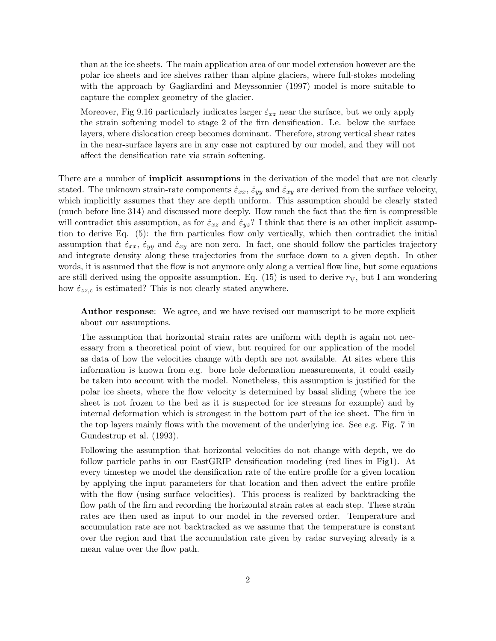than at the ice sheets. The main application area of our model extension however are the polar ice sheets and ice shelves rather than alpine glaciers, where full-stokes modeling with the approach by Gagliardini and Meyssonnier (1997) model is more suitable to capture the complex geometry of the glacier.

Moreover, Fig 9.16 particularly indicates larger  $\dot{\varepsilon}_{xz}$  near the surface, but we only apply the strain softening model to stage 2 of the firn densification. I.e. below the surface layers, where dislocation creep becomes dominant. Therefore, strong vertical shear rates in the near-surface layers are in any case not captured by our model, and they will not affect the densification rate via strain softening.

There are a number of **implicit assumptions** in the derivation of the model that are not clearly stated. The unknown strain-rate components  $\dot{\varepsilon}_{xx}$ ,  $\dot{\varepsilon}_{yy}$  and  $\dot{\varepsilon}_{xy}$  are derived from the surface velocity, which implicitly assumes that they are depth uniform. This assumption should be clearly stated (much before line 314) and discussed more deeply. How much the fact that the firn is compressible will contradict this assumption, as for  $\dot{\epsilon}_{xz}$  and  $\dot{\epsilon}_{yz}$ ? I think that there is an other implicit assumption to derive Eq. (5): the firn particules flow only vertically, which then contradict the initial assumption that  $\dot{\varepsilon}_{xx}$ ,  $\dot{\varepsilon}_{yy}$  and  $\dot{\varepsilon}_{xy}$  are non zero. In fact, one should follow the particles trajectory and integrate density along these trajectories from the surface down to a given depth. In other words, it is assumed that the flow is not anymore only along a vertical flow line, but some equations are still derived using the opposite assumption. Eq. (15) is used to derive  $r<sub>V</sub>$ , but I am wondering how  $\dot{\varepsilon}_{zz,c}$  is estimated? This is not clearly stated anywhere.

Author response: We agree, and we have revised our manuscript to be more explicit about our assumptions.

The assumption that horizontal strain rates are uniform with depth is again not necessary from a theoretical point of view, but required for our application of the model as data of how the velocities change with depth are not available. At sites where this information is known from e.g. bore hole deformation measurements, it could easily be taken into account with the model. Nonetheless, this assumption is justified for the polar ice sheets, where the flow velocity is determined by basal sliding (where the ice sheet is not frozen to the bed as it is suspected for ice streams for example) and by internal deformation which is strongest in the bottom part of the ice sheet. The firn in the top layers mainly flows with the movement of the underlying ice. See e.g. Fig. 7 in Gundestrup et al. (1993).

Following the assumption that horizontal velocities do not change with depth, we do follow particle paths in our EastGRIP densification modeling (red lines in Fig1). At every timestep we model the densification rate of the entire profile for a given location by applying the input parameters for that location and then advect the entire profile with the flow (using surface velocities). This process is realized by backtracking the flow path of the firn and recording the horizontal strain rates at each step. These strain rates are then used as input to our model in the reversed order. Temperature and accumulation rate are not backtracked as we assume that the temperature is constant over the region and that the accumulation rate given by radar surveying already is a mean value over the flow path.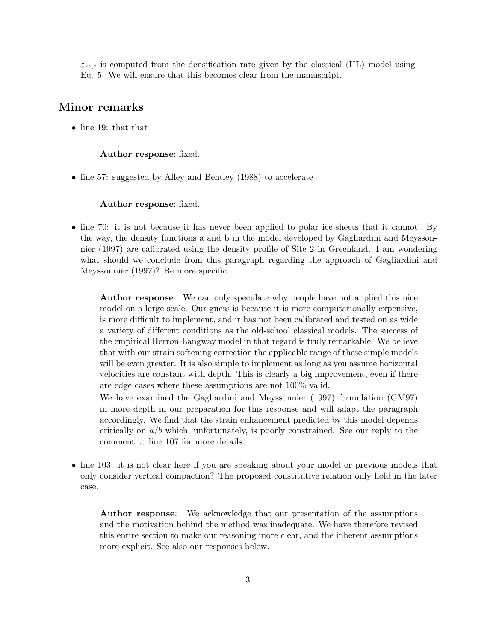$\dot{\varepsilon}_{zz,c}$  is computed from the densification rate given by the classical (HL) model using Eq. 5. We will ensure that this becomes clear from the manuscript.

# Minor remarks

• line 19: that that

### Author response: fixed.

• line 57: suggested by Alley and Bentley (1988) to accelerate

#### Author response: fixed.

• line 70: it is not because it has never been applied to polar ice-sheets that it cannot! By the way, the density functions a and b in the model developed by Gagliardini and Meyssonnier (1997) are calibrated using the density profile of Site 2 in Greenland. I am wondering what should we conclude from this paragraph regarding the approach of Gagliardini and Meyssonnier (1997)? Be more specific.

Author response: We can only speculate why people have not applied this nice model on a large scale. Our guess is because it is more computationally expensive, is more difficult to implement, and it has not been calibrated and tested on as wide a variety of different conditions as the old-school classical models. The success of the empirical Herron-Langway model in that regard is truly remarkable. We believe that with our strain softening correction the applicable range of these simple models will be even greater. It is also simple to implement as long as you assume horizontal velocities are constant with depth. This is clearly a big improvement, even if there are edge cases where these assumptions are not 100% valid.

We have examined the Gagliardini and Meyssonnier (1997) formulation (GM97) in more depth in our preparation for this response and will adapt the paragraph accordingly. We find that the strain enhancement predicted by this model depends critically on  $a/b$  which, unfortunately, is poorly constrained. See our reply to the comment to line 107 for more details..

• line 103: it is not clear here if you are speaking about your model or previous models that only consider vertical compaction? The proposed constitutive relation only hold in the later case.

Author response: We acknowledge that our presentation of the assumptions and the motivation behind the method was inadequate. We have therefore revised this entire section to make our reasoning more clear, and the inherent assumptions more explicit. See also our responses below.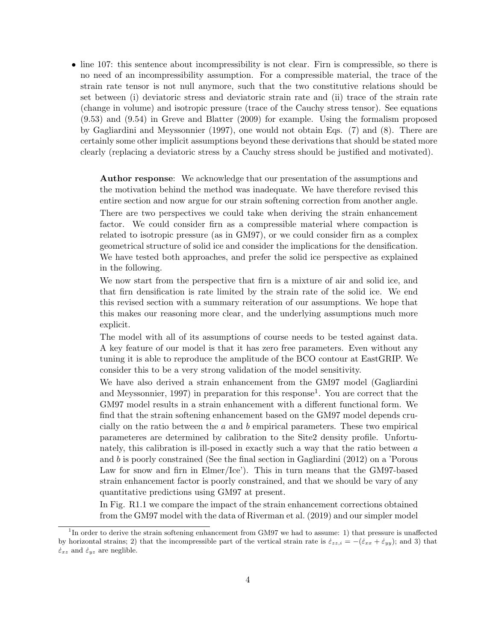• line 107: this sentence about incompressibility is not clear. Firn is compressible, so there is no need of an incompressibility assumption. For a compressible material, the trace of the strain rate tensor is not null anymore, such that the two constitutive relations should be set between (i) deviatoric stress and deviatoric strain rate and (ii) trace of the strain rate (change in volume) and isotropic pressure (trace of the Cauchy stress tensor). See equations (9.53) and (9.54) in Greve and Blatter (2009) for example. Using the formalism proposed by Gagliardini and Meyssonnier (1997), one would not obtain Eqs. (7) and (8). There are certainly some other implicit assumptions beyond these derivations that should be stated more clearly (replacing a deviatoric stress by a Cauchy stress should be justified and motivated).

Author response: We acknowledge that our presentation of the assumptions and the motivation behind the method was inadequate. We have therefore revised this entire section and now argue for our strain softening correction from another angle. There are two perspectives we could take when deriving the strain enhancement factor. We could consider firn as a compressible material where compaction is related to isotropic pressure (as in GM97), or we could consider firn as a complex geometrical structure of solid ice and consider the implications for the densification. We have tested both approaches, and prefer the solid ice perspective as explained in the following.

We now start from the perspective that firn is a mixture of air and solid ice, and that firn densification is rate limited by the strain rate of the solid ice. We end this revised section with a summary reiteration of our assumptions. We hope that this makes our reasoning more clear, and the underlying assumptions much more explicit.

The model with all of its assumptions of course needs to be tested against data. A key feature of our model is that it has zero free parameters. Even without any tuning it is able to reproduce the amplitude of the BCO contour at EastGRIP. We consider this to be a very strong validation of the model sensitivity.

We have also derived a strain enhancement from the GM97 model (Gagliardini and Meyssonnier, 1997) in preparation for this response<sup>1</sup>. You are correct that the GM97 model results in a strain enhancement with a different functional form. We find that the strain softening enhancement based on the GM97 model depends crucially on the ratio between the  $a$  and  $b$  empirical parameters. These two empirical parameteres are determined by calibration to the Site2 density profile. Unfortunately, this calibration is ill-posed in exactly such a way that the ratio between a and b is poorly constrained (See the final section in Gagliardini (2012) on a 'Porous Law for snow and firn in Elmer/Ice'). This in turn means that the GM97-based strain enhancement factor is poorly constrained, and that we should be vary of any quantitative predictions using GM97 at present.

In Fig. R1.1 we compare the impact of the strain enhancement corrections obtained from the GM97 model with the data of Riverman et al. (2019) and our simpler model

<sup>&</sup>lt;sup>1</sup>In order to derive the strain softening enhancement from GM97 we had to assume: 1) that pressure is unaffected by horizontal strains; 2) that the incompressible part of the vertical strain rate is  $\dot{\epsilon}_{zz,i} = -(\dot{\epsilon}_{xx} + \dot{\epsilon}_{yy})$ ; and 3) that  $\dot{\varepsilon}_{xz}$  and  $\dot{\varepsilon}_{yz}$  are neglible.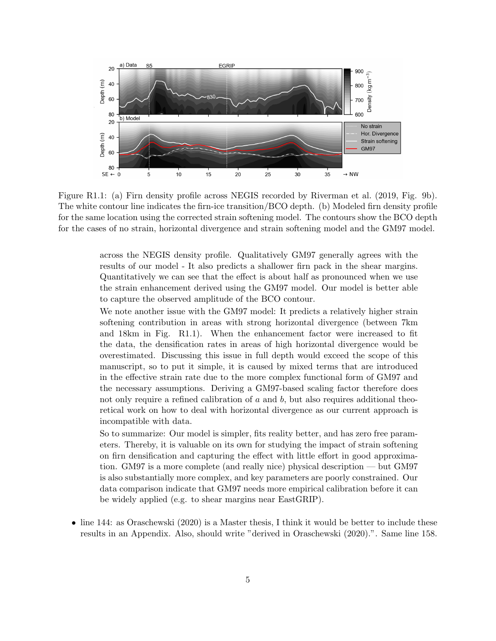

Figure R1.1: (a) Firn density profile across NEGIS recorded by Riverman et al. (2019, Fig. 9b). The white contour line indicates the firn-ice transition/BCO depth. (b) Modeled firn density profile for the same location using the corrected strain softening model. The contours show the BCO depth for the cases of no strain, horizontal divergence and strain softening model and the GM97 model.

across the NEGIS density profile. Qualitatively GM97 generally agrees with the results of our model - It also predicts a shallower firn pack in the shear margins. Quantitatively we can see that the effect is about half as pronounced when we use the strain enhancement derived using the GM97 model. Our model is better able to capture the observed amplitude of the BCO contour.

We note another issue with the GM97 model: It predicts a relatively higher strain softening contribution in areas with strong horizontal divergence (between 7km and 18km in Fig. R1.1). When the enhancement factor were increased to fit the data, the densification rates in areas of high horizontal divergence would be overestimated. Discussing this issue in full depth would exceed the scope of this manuscript, so to put it simple, it is caused by mixed terms that are introduced in the effective strain rate due to the more complex functional form of GM97 and the necessary assumptions. Deriving a GM97-based scaling factor therefore does not only require a refined calibration of  $a$  and  $b$ , but also requires additional theoretical work on how to deal with horizontal divergence as our current approach is incompatible with data.

So to summarize: Our model is simpler, fits reality better, and has zero free parameters. Thereby, it is valuable on its own for studying the impact of strain softening on firn densification and capturing the effect with little effort in good approximation. GM97 is a more complete (and really nice) physical description — but GM97 is also substantially more complex, and key parameters are poorly constrained. Our data comparison indicate that GM97 needs more empirical calibration before it can be widely applied (e.g. to shear margins near EastGRIP).

• line 144: as Oraschewski (2020) is a Master thesis, I think it would be better to include these results in an Appendix. Also, should write "derived in Oraschewski (2020).". Same line 158.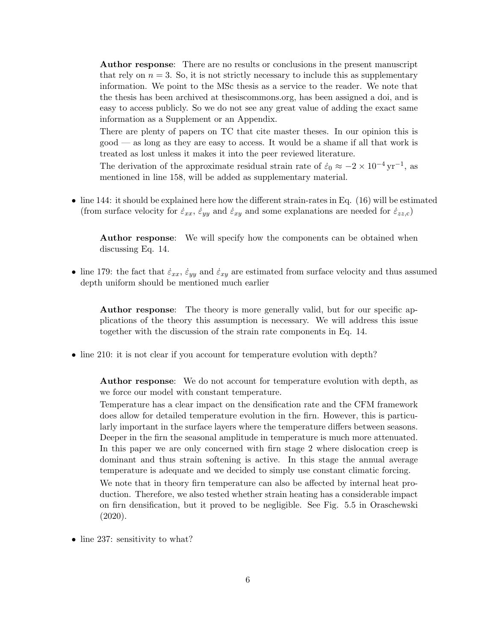Author response: There are no results or conclusions in the present manuscript that rely on  $n = 3$ . So, it is not strictly necessary to include this as supplementary information. We point to the MSc thesis as a service to the reader. We note that the thesis has been archived at thesiscommons.org, has been assigned a doi, and is easy to access publicly. So we do not see any great value of adding the exact same information as a Supplement or an Appendix.

There are plenty of papers on TC that cite master theses. In our opinion this is good — as long as they are easy to access. It would be a shame if all that work is treated as lost unless it makes it into the peer reviewed literature.

The derivation of the approximate residual strain rate of  $\dot{\varepsilon}_0 \approx -2 \times 10^{-4} \,\text{yr}^{-1}$ , as mentioned in line 158, will be added as supplementary material.

• line 144: it should be explained here how the different strain-rates in Eq.  $(16)$  will be estimated (from surface velocity for  $\dot{\varepsilon}_{xx}$ ,  $\dot{\varepsilon}_{yy}$  and  $\dot{\varepsilon}_{xy}$  and some explanations are needed for  $\dot{\varepsilon}_{zz,c}$ )

Author response: We will specify how the components can be obtained when discussing Eq. 14.

• line 179: the fact that  $\dot{\varepsilon}_{xx}$ ,  $\dot{\varepsilon}_{yy}$  and  $\dot{\varepsilon}_{xy}$  are estimated from surface velocity and thus assumed depth uniform should be mentioned much earlier

Author response: The theory is more generally valid, but for our specific applications of the theory this assumption is necessary. We will address this issue together with the discussion of the strain rate components in Eq. 14.

• line 210: it is not clear if you account for temperature evolution with depth?

Author response: We do not account for temperature evolution with depth, as we force our model with constant temperature.

Temperature has a clear impact on the densification rate and the CFM framework does allow for detailed temperature evolution in the firn. However, this is particularly important in the surface layers where the temperature differs between seasons. Deeper in the firn the seasonal amplitude in temperature is much more attenuated. In this paper we are only concerned with firn stage 2 where dislocation creep is dominant and thus strain softening is active. In this stage the annual average temperature is adequate and we decided to simply use constant climatic forcing.

We note that in theory firn temperature can also be affected by internal heat production. Therefore, we also tested whether strain heating has a considerable impact on firn densification, but it proved to be negligible. See Fig. 5.5 in Oraschewski (2020).

• line 237: sensitivity to what?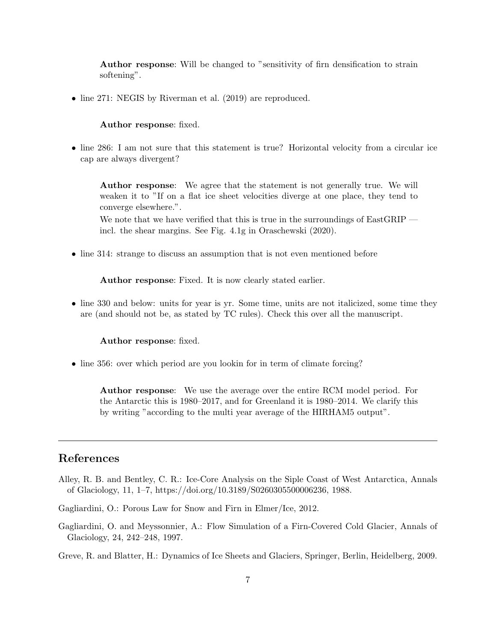Author response: Will be changed to "sensitivity of firn densification to strain softening".

• line 271: NEGIS by Riverman et al. (2019) are reproduced.

### Author response: fixed.

• line 286: I am not sure that this statement is true? Horizontal velocity from a circular ice cap are always divergent?

Author response: We agree that the statement is not generally true. We will weaken it to "If on a flat ice sheet velocities diverge at one place, they tend to converge elsewhere.".

We note that we have verified that this is true in the surroundings of EastGRIP incl. the shear margins. See Fig. 4.1g in Oraschewski (2020).

• line 314: strange to discuss an assumption that is not even mentioned before

Author response: Fixed. It is now clearly stated earlier.

• line 330 and below: units for year is yr. Some time, units are not italicized, some time they are (and should not be, as stated by TC rules). Check this over all the manuscript.

#### Author response: fixed.

• line 356: over which period are you lookin for in term of climate forcing?

Author response: We use the average over the entire RCM model period. For the Antarctic this is 1980–2017, and for Greenland it is 1980–2014. We clarify this by writing "according to the multi year average of the HIRHAM5 output".

# References

Alley, R. B. and Bentley, C. R.: Ice-Core Analysis on the Siple Coast of West Antarctica, Annals of Glaciology, 11, 1–7, https://doi.org/10.3189/S0260305500006236, 1988.

Gagliardini, O.: Porous Law for Snow and Firn in Elmer/Ice, 2012.

- Gagliardini, O. and Meyssonnier, A.: Flow Simulation of a Firn-Covered Cold Glacier, Annals of Glaciology, 24, 242–248, 1997.
- Greve, R. and Blatter, H.: Dynamics of Ice Sheets and Glaciers, Springer, Berlin, Heidelberg, 2009.